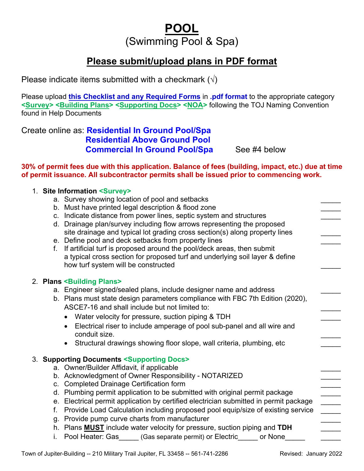# **POOL** (Swimming Pool & Spa)

# **Please submit/upload plans in PDF format**

Please indicate items submitted with a checkmark  $(\sqrt{})$ 

Please upload **this Checklist and any Required Forms** in **.pdf format** to the appropriate category **<Survey> <Building Plans> <Supporting Docs> <NOA>** following the TOJ Naming Convention found in Help Documents

## Create online as: **Residential In Ground Pool/Spa Residential Above Ground Pool Commercial In Ground Pool/Spa** See #4 below

**30% of permit fees due with this application. Balance of fees (building, impact, etc.) due at time of permit issuance. All subcontractor permits shall be issued prior to commencing work.**

|  | 1. Site Information <survey></survey>                                   |                                                                                       |  |  |  |  |
|--|-------------------------------------------------------------------------|---------------------------------------------------------------------------------------|--|--|--|--|
|  | a. Survey showing location of pool and setbacks                         |                                                                                       |  |  |  |  |
|  | b. Must have printed legal description & flood zone                     |                                                                                       |  |  |  |  |
|  | Indicate distance from power lines, septic system and structures<br>C.  |                                                                                       |  |  |  |  |
|  | d. Drainage plan/survey including flow arrows representing the proposed |                                                                                       |  |  |  |  |
|  |                                                                         | site drainage and typical lot grading cross section(s) along property lines           |  |  |  |  |
|  |                                                                         | e. Define pool and deck setbacks from property lines                                  |  |  |  |  |
|  | f.                                                                      | If artificial turf is proposed around the pool/deck areas, then submit                |  |  |  |  |
|  |                                                                         | a typical cross section for proposed turf and underlying soil layer & define          |  |  |  |  |
|  |                                                                         | how turf system will be constructed                                                   |  |  |  |  |
|  |                                                                         |                                                                                       |  |  |  |  |
|  |                                                                         | 2. Plans <building plans=""></building>                                               |  |  |  |  |
|  |                                                                         | a. Engineer signed/sealed plans, include designer name and address                    |  |  |  |  |
|  |                                                                         | b. Plans must state design parameters compliance with FBC 7th Edition (2020),         |  |  |  |  |
|  |                                                                         | ASCE7-16 and shall include but not limited to:                                        |  |  |  |  |
|  |                                                                         | Water velocity for pressure, suction piping & TDH                                     |  |  |  |  |
|  |                                                                         | Electrical riser to include amperage of pool sub-panel and all wire and               |  |  |  |  |
|  |                                                                         | conduit size.                                                                         |  |  |  |  |
|  |                                                                         | Structural drawings showing floor slope, wall criteria, plumbing, etc                 |  |  |  |  |
|  | 3. Supporting Documents <supporting docs=""></supporting>               |                                                                                       |  |  |  |  |
|  | a. Owner/Builder Affidavit, if applicable                               |                                                                                       |  |  |  |  |
|  |                                                                         | b. Acknowledgment of Owner Responsibility - NOTARIZED                                 |  |  |  |  |
|  |                                                                         | c. Completed Drainage Certification form                                              |  |  |  |  |
|  |                                                                         | d. Plumbing permit application to be submitted with original permit package           |  |  |  |  |
|  |                                                                         | e. Electrical permit application by certified electrician submitted in permit package |  |  |  |  |
|  | f.                                                                      | Provide Load Calculation including proposed pool equip/size of existing service       |  |  |  |  |
|  | g. Provide pump curve charts from manufacturer                          |                                                                                       |  |  |  |  |
|  |                                                                         | h. Plans <b>MUST</b> include water velocity for pressure, suction piping and TDH      |  |  |  |  |
|  | i.                                                                      | Pool Heater: Gas<br>(Gas separate permit) or Electric<br>or None                      |  |  |  |  |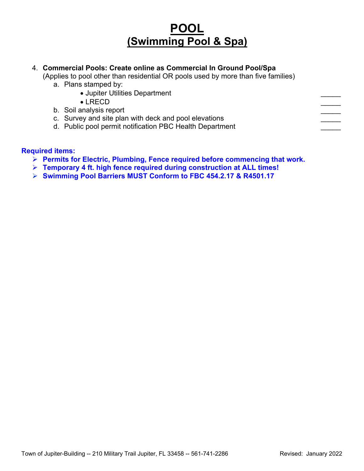# **POOL (Swimming Pool & Spa)**

### 4. **Commercial Pools: Create online as Commercial In Ground Pool/Spa**

- (Applies to pool other than residential OR pools used by more than five families)
	- a. Plans stamped by:
		- Jupiter Utilities Department \_\_\_\_\_
		- $\bullet$  LRECD  $\hspace{2.5cm}$
		- b. Soil analysis report
		- c. Survey and site plan with deck and pool elevations
		- d. Public pool permit notification PBC Health Department

#### **Required items:**

- **Permits for Electric, Plumbing, Fence required before commencing that work.**
- **Temporary 4 ft. high fence required during construction at ALL times!**
- **Swimming Pool Barriers MUST Conform to FBC 454.2.17 & R4501.17**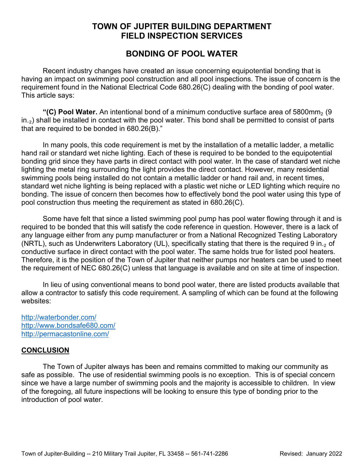## **TOWN OF JUPITER BUILDING DEPARTMENT FIELD INSPECTION SERVICES**

## **BONDING OF POOL WATER**

Recent industry changes have created an issue concerning equipotential bonding that is having an impact on swimming pool construction and all pool inspections. The issue of concern is the requirement found in the National Electrical Code 680.26(C) dealing with the bonding of pool water. This article says:

**"(C) Pool Water.** An intentional bond of a minimum conductive surface area of 5800mm₂ (9 in.<sub>2</sub>) shall be installed in contact with the pool water. This bond shall be permitted to consist of parts that are required to be bonded in 680.26(B)."

In many pools, this code requirement is met by the installation of a metallic ladder, a metallic hand rail or standard wet niche lighting. Each of these is required to be bonded to the equipotential bonding grid since they have parts in direct contact with pool water. In the case of standard wet niche lighting the metal ring surrounding the light provides the direct contact. However, many residential swimming pools being installed do not contain a metallic ladder or hand rail and, in recent times, standard wet niche lighting is being replaced with a plastic wet niche or LED lighting which require no bonding. The issue of concern then becomes how to effectively bond the pool water using this type of pool construction thus meeting the requirement as stated in 680.26(C).

Some have felt that since a listed swimming pool pump has pool water flowing through it and is required to be bonded that this will satisfy the code reference in question. However, there is a lack of any language either from any pump manufacturer or from a National Recognized Testing Laboratory (NRTL), such as Underwriters Laboratory (UL), specifically stating that there is the required 9 in.<sub>2</sub> of conductive surface in direct contact with the pool water. The same holds true for listed pool heaters. Therefore, it is the position of the Town of Jupiter that neither pumps nor heaters can be used to meet the requirement of NEC 680.26(C) unless that language is available and on site at time of inspection.

In lieu of using conventional means to bond pool water, there are listed products available that allow a contractor to satisfy this code requirement. A sampling of which can be found at the following websites:

<http://waterbonder.com/> <http://www.bondsafe680.com/> <http://permacastonline.com/>

### **CONCLUSION**

The Town of Jupiter always has been and remains committed to making our community as safe as possible. The use of residential swimming pools is no exception. This is of special concern since we have a large number of swimming pools and the majority is accessible to children. In view of the foregoing, all future inspections will be looking to ensure this type of bonding prior to the introduction of pool water.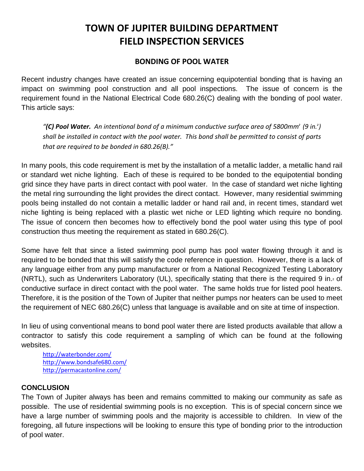# **TOWN OF JUPITER BUILDING DEPARTMENT FIELD INSPECTION SERVICES**

### **BONDING OF POOL WATER**

Recent industry changes have created an issue concerning equipotential bonding that is having an impact on swimming pool construction and all pool inspections. The issue of concern is the requirement found in the National Electrical Code 680.26(C) dealing with the bonding of pool water. This article says:

*"(C) Pool Water. An intentional bond of a minimum conductive surface area of 5800mm<sup>₂</sup>(9 in.<sup>₂</sup> ) shall be installed in contact with the pool water. This bond shall be permitted to consist of parts that are required to be bonded in 680.26(B)."*

In many pools, this code requirement is met by the installation of a metallic ladder, a metallic hand rail or standard wet niche lighting. Each of these is required to be bonded to the equipotential bonding grid since they have parts in direct contact with pool water. In the case of standard wet niche lighting the metal ring surrounding the light provides the direct contact. However, many residential swimming pools being installed do not contain a metallic ladder or hand rail and, in recent times, standard wet niche lighting is being replaced with a plastic wet niche or LED lighting which require no bonding. The issue of concern then becomes how to effectively bond the pool water using this type of pool construction thus meeting the requirement as stated in 680.26(C).

Some have felt that since a listed swimming pool pump has pool water flowing through it and is required to be bonded that this will satisfy the code reference in question. However, there is a lack of any language either from any pump manufacturer or from a National Recognized Testing Laboratory (NRTL), such as Underwriters Laboratory (UL), specifically stating that there is the required 9 in.<sup>2</sup> of conductive surface in direct contact with the pool water. The same holds true for listed pool heaters. Therefore, it is the position of the Town of Jupiter that neither pumps nor heaters can be used to meet the requirement of NEC 680.26(C) unless that language is available and on site at time of inspection.

In lieu of using conventional means to bond pool water there are listed products available that allow a contractor to satisfy this code requirement a sampling of which can be found at the following websites.

http://waterbonder.com/ http://www.bondsafe680.com/ http://permacastonline.com/

### **CONCLUSION**

The Town of Jupiter always has been and remains committed to making our community as safe as possible. The use of residential swimming pools is no exception. This is of special concern since we have a large number of swimming pools and the majority is accessible to children. In view of the foregoing, all future inspections will be looking to ensure this type of bonding prior to the introduction of pool water.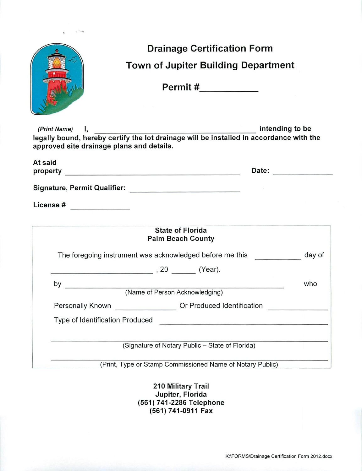|                                                 | <b>Drainage Certification Form</b>                                                                                             |        |  |  |  |
|-------------------------------------------------|--------------------------------------------------------------------------------------------------------------------------------|--------|--|--|--|
|                                                 | <b>Town of Jupiter Building Department</b>                                                                                     |        |  |  |  |
|                                                 | Permit #__________                                                                                                             |        |  |  |  |
| approved site drainage plans and details.       | (Print Name) I, htending to be compared in tending to be the same of the lot drainage will be installed in accordance with the |        |  |  |  |
| At said                                         |                                                                                                                                |        |  |  |  |
|                                                 | Signature, Permit Qualifier: Network and Signature, Network                                                                    |        |  |  |  |
| License # _____________                         |                                                                                                                                |        |  |  |  |
|                                                 | <b>State of Florida</b>                                                                                                        |        |  |  |  |
|                                                 | <b>Palm Beach County</b>                                                                                                       |        |  |  |  |
|                                                 | The foregoing instrument was acknowledged before me this                                                                       | day of |  |  |  |
|                                                 |                                                                                                                                |        |  |  |  |
| by                                              |                                                                                                                                | who    |  |  |  |
| (Name of Person Acknowledging)                  |                                                                                                                                |        |  |  |  |
| Personally Known                                | Or Produced Identification                                                                                                     |        |  |  |  |
| Type of Identification Produced                 |                                                                                                                                |        |  |  |  |
| (Signature of Notary Public - State of Florida) |                                                                                                                                |        |  |  |  |
|                                                 | (Print, Type or Stamp Commissioned Name of Notary Public)                                                                      |        |  |  |  |
|                                                 |                                                                                                                                |        |  |  |  |

210 Military Trail<br>Jupiter, Florida<br>(561) 741-2286 Telephone<br>(561) 741-0911 Fax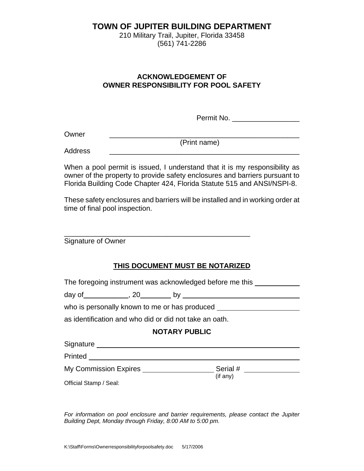### **TOWN OF JUPITER BUILDING DEPARTMENT**

210 Military Trail, Jupiter, Florida 33458 (561) 741-2286

### **ACKNOWLEDGEMENT OF OWNER RESPONSIBILITY FOR POOL SAFETY**

Permit No.

Owner \_\_\_\_\_\_\_\_\_\_\_\_\_\_\_\_\_\_\_\_\_\_\_\_\_\_\_\_\_\_\_\_\_\_\_\_\_\_\_\_\_\_\_\_\_\_\_\_

(Print name)

Address \_\_\_\_\_\_\_\_\_\_\_\_\_\_\_\_\_\_\_\_\_\_\_\_\_\_\_\_\_\_\_\_\_\_\_\_\_\_\_\_\_\_\_\_\_\_\_\_

When a pool permit is issued, I understand that it is my responsibility as owner of the property to provide safety enclosures and barriers pursuant to Florida Building Code Chapter 424, Florida Statute 515 and ANSI/NSPI-8.

These safety enclosures and barriers will be installed and in working order at time of final pool inspection.

Signature of Owner

### **THIS DOCUMENT MUST BE NOTARIZED**

The foregoing instrument was acknowledged before me this \_\_\_\_\_\_\_\_\_\_\_\_\_\_\_\_\_\_\_\_\_\_\_

\_\_\_\_\_\_\_\_\_\_\_\_\_\_\_\_\_\_\_\_\_\_\_\_\_\_\_\_\_\_\_\_\_\_\_\_\_\_\_\_\_\_\_\_\_\_\_

day of , 20 by

who is personally known to me or has produced

as identification and who did or did not take an oath.

#### **NOTARY PUBLIC**

Signature **Signature Signature** 

Printed

My Commission Expires Serial #

(if any)

Official Stamp / Seal:

*For information on pool enclosure and barrier requirements, please contact the Jupiter Building Dept, Monday through Friday, 8:00 AM to 5:00 pm.*